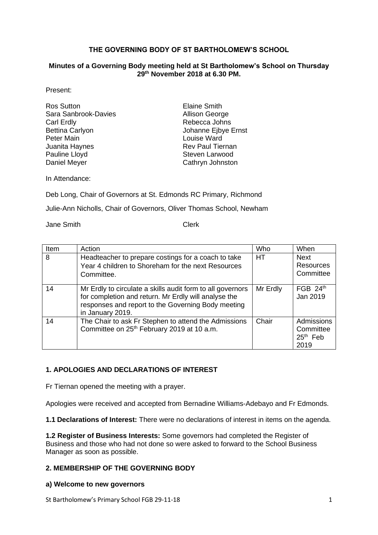### **THE GOVERNING BODY OF ST BARTHOLOMEW'S SCHOOL**

#### **Minutes of a Governing Body meeting held at St Bartholomew's School on Thursday 29 th November 2018 at 6.30 PM.**

Present:

| Ros Sutton             |
|------------------------|
| Sara Sanbrook-Davies   |
| Carl Erdly             |
| <b>Bettina Carlyon</b> |
| <b>Peter Main</b>      |
| Juanita Haynes         |
| Pauline Lloyd          |
| Daniel Meyer           |

**Elaine Smith** Allison George Rebecca Johns Johanne Ejbye Ernst Louise Ward Rev Paul Tiernan Steven Larwood Cathryn Johnston

In Attendance:

Deb Long, Chair of Governors at St. Edmonds RC Primary, Richmond

Julie-Ann Nicholls, Chair of Governors, Oliver Thomas School, Newham

Jane Smith Clerk

| Item | Action                                                                                                                                                                                       | Who      | When                                          |
|------|----------------------------------------------------------------------------------------------------------------------------------------------------------------------------------------------|----------|-----------------------------------------------|
| 8    | Headteacher to prepare costings for a coach to take<br>Year 4 children to Shoreham for the next Resources<br>Committee.                                                                      | HT.      | <b>Next</b><br>Resources<br>Committee         |
|      |                                                                                                                                                                                              |          |                                               |
| 14   | Mr Erdly to circulate a skills audit form to all governors<br>for completion and return. Mr Erdly will analyse the<br>responses and report to the Governing Body meeting<br>in January 2019. | Mr Erdly | FGB $24th$<br>Jan 2019                        |
| 14   | The Chair to ask Fr Stephen to attend the Admissions<br>Committee on 25 <sup>th</sup> February 2019 at 10 a.m.                                                                               | Chair    | Admissions<br>Committee<br>$25th$ Feb<br>2019 |

# **1. APOLOGIES AND DECLARATIONS OF INTEREST**

Fr Tiernan opened the meeting with a prayer.

Apologies were received and accepted from Bernadine Williams-Adebayo and Fr Edmonds.

**1.1 Declarations of Interest:** There were no declarations of interest in items on the agenda.

**1.2 Register of Business Interests:** Some governors had completed the Register of Business and those who had not done so were asked to forward to the School Business Manager as soon as possible.

### **2. MEMBERSHIP OF THE GOVERNING BODY**

### **a) Welcome to new governors**

St Bartholomew's Primary School FGB 29-11-18 1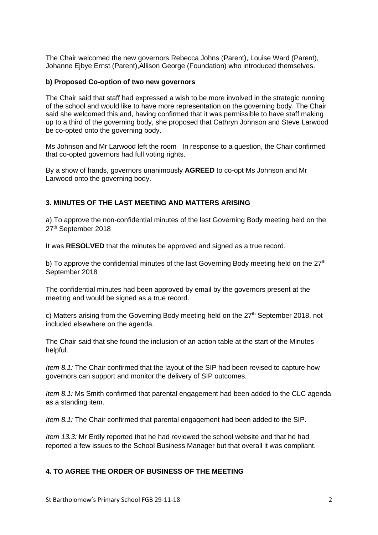The Chair welcomed the new governors Rebecca Johns (Parent), Louise Ward (Parent), Johanne Ejbye Ernst (Parent),Allison George (Foundation) who introduced themselves.

#### **b) Proposed Co-option of two new governors**

The Chair said that staff had expressed a wish to be more involved in the strategic running of the school and would like to have more representation on the governing body. The Chair said she welcomed this and, having confirmed that it was permissible to have staff making up to a third of the governing body, she proposed that Cathryn Johnson and Steve Larwood be co-opted onto the governing body.

Ms Johnson and Mr Larwood left the room In response to a question, the Chair confirmed that co-opted governors had full voting rights.

By a show of hands, governors unanimously **AGREED** to co-opt Ms Johnson and Mr Larwood onto the governing body.

## **3. MINUTES OF THE LAST MEETING AND MATTERS ARISING**

a) To approve the non-confidential minutes of the last Governing Body meeting held on the 27<sup>th</sup> September 2018

It was **RESOLVED** that the minutes be approved and signed as a true record.

b) To approve the confidential minutes of the last Governing Body meeting held on the  $27<sup>th</sup>$ September 2018

The confidential minutes had been approved by email by the governors present at the meeting and would be signed as a true record.

c) Matters arising from the Governing Body meeting held on the  $27<sup>th</sup>$  September 2018, not included elsewhere on the agenda.

The Chair said that she found the inclusion of an action table at the start of the Minutes helpful.

*Item 8.1:* The Chair confirmed that the layout of the SIP had been revised to capture how governors can support and monitor the delivery of SIP outcomes.

*Item 8.1:* Ms Smith confirmed that parental engagement had been added to the CLC agenda as a standing item.

*Item 8.1:* The Chair confirmed that parental engagement had been added to the SIP.

*Item 13.3:* Mr Erdly reported that he had reviewed the school website and that he had reported a few issues to the School Business Manager but that overall it was compliant.

# **4. TO AGREE THE ORDER OF BUSINESS OF THE MEETING**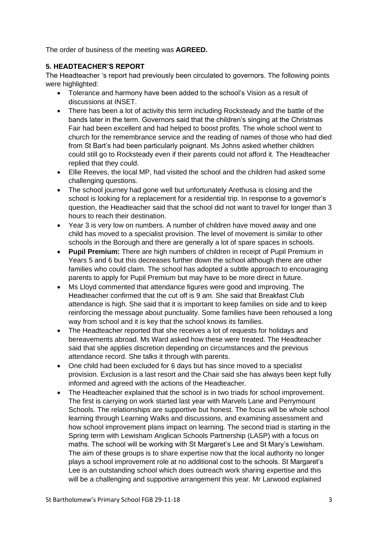The order of business of the meeting was **AGREED.**

## **5. HEADTEACHER'S REPORT**

The Headteacher 's report had previously been circulated to governors. The following points were highlighted:

- Tolerance and harmony have been added to the school's Vision as a result of discussions at INSET.
- There has been a lot of activity this term including Rocksteady and the battle of the bands later in the term. Governors said that the children's singing at the Christmas Fair had been excellent and had helped to boost profits. The whole school went to church for the remembrance service and the reading of names of those who had died from St Bart's had been particularly poignant. Ms Johns asked whether children could still go to Rocksteady even if their parents could not afford it. The Headteacher replied that they could.
- Ellie Reeves, the local MP, had visited the school and the children had asked some challenging questions.
- The school journey had gone well but unfortunately Arethusa is closing and the school is looking for a replacement for a residential trip. In response to a governor's question, the Headteacher said that the school did not want to travel for longer than 3 hours to reach their destination.
- Year 3 is very low on numbers. A number of children have moved away and one child has moved to a specialist provision. The level of movement is similar to other schools in the Borough and there are generally a lot of spare spaces in schools.
- **Pupil Premium:** There are high numbers of children in receipt of Pupil Premium in Years 5 and 6 but this decreases further down the school although there are other families who could claim. The school has adopted a subtle approach to encouraging parents to apply for Pupil Premium but may have to be more direct in future.
- Ms Lloyd commented that attendance figures were good and improving. The Headteacher confirmed that the cut off is 9 am. She said that Breakfast Club attendance is high. She said that it is important to keep families on side and to keep reinforcing the message about punctuality. Some families have been rehoused a long way from school and it is key that the school knows its families.
- The Headteacher reported that she receives a lot of requests for holidays and bereavements abroad. Ms Ward asked how these were treated. The Headteacher said that she applies discretion depending on circumstances and the previous attendance record. She talks it through with parents.
- One child had been excluded for 6 days but has since moved to a specialist provision. Exclusion is a last resort and the Chair said she has always been kept fully informed and agreed with the actions of the Headteacher.
- The Headteacher explained that the school is in two triads for school improvement. The first is carrying on work started last year with Marvels Lane and Perrymount Schools. The relationships are supportive but honest. The focus will be whole school learning through Learning Walks and discussions, and examining assessment and how school improvement plans impact on learning. The second triad is starting in the Spring term with Lewisham Anglican Schools Partnership (LASP) with a focus on maths. The school will be working with St Margaret's Lee and St Mary's Lewisham. The aim of these groups is to share expertise now that the local authority no longer plays a school improvement role at no additional cost to the schools. St Margaret's Lee is an outstanding school which does outreach work sharing expertise and this will be a challenging and supportive arrangement this year. Mr Larwood explained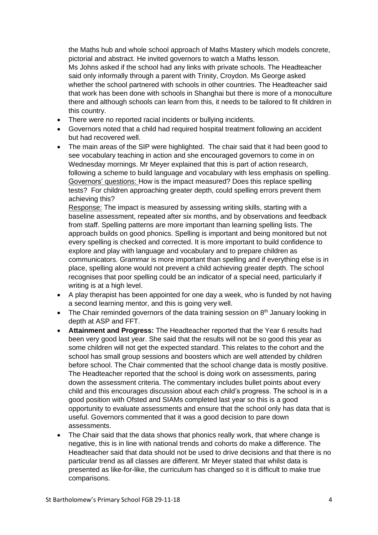the Maths hub and whole school approach of Maths Mastery which models concrete, pictorial and abstract. He invited governors to watch a Maths lesson.

Ms Johns asked if the school had any links with private schools. The Headteacher said only informally through a parent with Trinity, Croydon. Ms George asked whether the school partnered with schools in other countries. The Headteacher said that work has been done with schools in Shanghai but there is more of a monoculture there and although schools can learn from this, it needs to be tailored to fit children in this country.

- There were no reported racial incidents or bullying incidents.
- Governors noted that a child had required hospital treatment following an accident but had recovered well.
- The main areas of the SIP were highlighted. The chair said that it had been good to see vocabulary teaching in action and she encouraged governors to come in on Wednesday mornings. Mr Meyer explained that this is part of action research, following a scheme to build language and vocabulary with less emphasis on spelling. Governors' questions: How is the impact measured? Does this replace spelling tests? For children approaching greater depth, could spelling errors prevent them achieving this?

Response: The impact is measured by assessing writing skills, starting with a baseline assessment, repeated after six months, and by observations and feedback from staff. Spelling patterns are more important than learning spelling lists. The approach builds on good phonics. Spelling is important and being monitored but not every spelling is checked and corrected. It is more important to build confidence to explore and play with language and vocabulary and to prepare children as communicators. Grammar is more important than spelling and if everything else is in place, spelling alone would not prevent a child achieving greater depth. The school recognises that poor spelling could be an indicator of a special need, particularly if writing is at a high level.

- A play therapist has been appointed for one day a week, who is funded by not having a second learning mentor, and this is going very well.
- The Chair reminded governors of the data training session on  $8<sup>th</sup>$  January looking in depth at ASP and FFT.
- **Attainment and Progress:** The Headteacher reported that the Year 6 results had been very good last year. She said that the results will not be so good this year as some children will not get the expected standard. This relates to the cohort and the school has small group sessions and boosters which are well attended by children before school. The Chair commented that the school change data is mostly positive. The Headteacher reported that the school is doing work on assessments, paring down the assessment criteria. The commentary includes bullet points about every child and this encourages discussion about each child's progress. The school is in a good position with Ofsted and SIAMs completed last year so this is a good opportunity to evaluate assessments and ensure that the school only has data that is useful. Governors commented that it was a good decision to pare down assessments.
- The Chair said that the data shows that phonics really work, that where change is negative, this is in line with national trends and cohorts do make a difference. The Headteacher said that data should not be used to drive decisions and that there is no particular trend as all classes are different. Mr Meyer stated that whilst data is presented as like-for-like, the curriculum has changed so it is difficult to make true comparisons.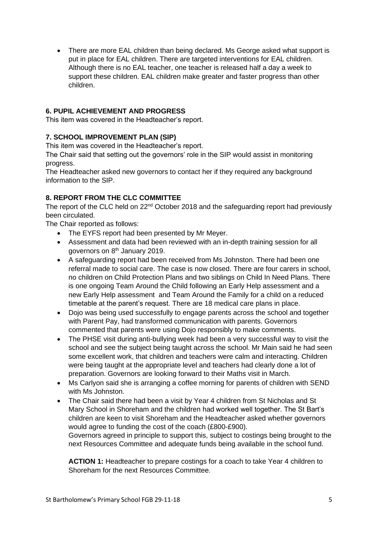• There are more EAL children than being declared. Ms George asked what support is put in place for EAL children. There are targeted interventions for EAL children. Although there is no EAL teacher, one teacher is released half a day a week to support these children. EAL children make greater and faster progress than other children.

# **6. PUPIL ACHIEVEMENT AND PROGRESS**

This item was covered in the Headteacher's report.

# **7. SCHOOL IMPROVEMENT PLAN (SIP)**

This item was covered in the Headteacher's report.

The Chair said that setting out the governors' role in the SIP would assist in monitoring progress.

The Headteacher asked new governors to contact her if they required any background information to the SIP.

# **8. REPORT FROM THE CLC COMMITTEE**

The report of the CLC held on  $22<sup>nd</sup>$  October 2018 and the safeguarding report had previously been circulated.

The Chair reported as follows:

- The EYFS report had been presented by Mr Meyer.
- Assessment and data had been reviewed with an in-depth training session for all governors on 8<sup>th</sup> January 2019.
- A safeguarding report had been received from Ms Johnston. There had been one referral made to social care. The case is now closed. There are four carers in school, no children on Child Protection Plans and two siblings on Child In Need Plans. There is one ongoing Team Around the Child following an Early Help assessment and a new Early Help assessment and Team Around the Family for a child on a reduced timetable at the parent's request. There are 18 medical care plans in place.
- Dojo was being used successfully to engage parents across the school and together with Parent Pay, had transformed communication with parents. Governors commented that parents were using Dojo responsibly to make comments.
- The PHSE visit during anti-bullying week had been a very successful way to visit the school and see the subject being taught across the school. Mr Main said he had seen some excellent work, that children and teachers were calm and interacting. Children were being taught at the appropriate level and teachers had clearly done a lot of preparation. Governors are looking forward to their Maths visit in March.
- Ms Carlyon said she is arranging a coffee morning for parents of children with SEND with Ms Johnston.
- The Chair said there had been a visit by Year 4 children from St Nicholas and St Mary School in Shoreham and the children had worked well together. The St Bart's children are keen to visit Shoreham and the Headteacher asked whether governors would agree to funding the cost of the coach (£800-£900). Governors agreed in principle to support this, subject to costings being brought to the

next Resources Committee and adequate funds being available in the school fund.

**ACTION 1:** Headteacher to prepare costings for a coach to take Year 4 children to Shoreham for the next Resources Committee.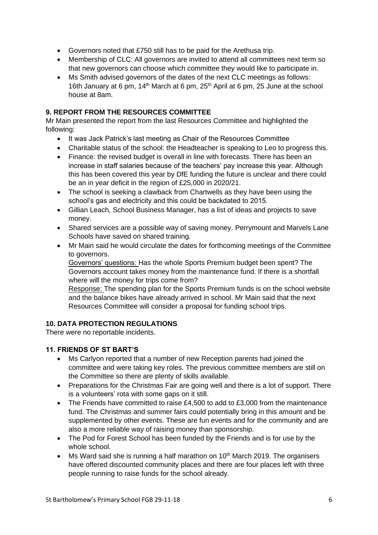- Governors noted that £750 still has to be paid for the Arethusa trip.
- Membership of CLC: All governors are invited to attend all committees next term so that new governors can choose which committee they would like to participate in.
- Ms Smith advised governors of the dates of the next CLC meetings as follows: 16th January at 6 pm,  $14<sup>th</sup>$  March at 6 pm,  $25<sup>th</sup>$  April at 6 pm, 25 June at the school house at 8am.

# **9. REPORT FROM THE RESOURCES COMMITTEE**

Mr Main presented the report from the last Resources Committee and highlighted the following:

- It was Jack Patrick's last meeting as Chair of the Resources Committee
- Charitable status of the school: the Headteacher is speaking to Leo to progress this.
- Finance: the revised budget is overall in line with forecasts. There has been an increase in staff salaries because of the teachers' pay increase this year. Although this has been covered this year by DfE funding the future is unclear and there could be an in year deficit in the region of £25,000 in 2020/21.
- The school is seeking a clawback from Chartwells as they have been using the school's gas and electricity and this could be backdated to 2015.
- Gillian Leach, School Business Manager, has a list of ideas and projects to save money.
- Shared services are a possible way of saving money. Perrymount and Marvels Lane Schools have saved on shared training.
- Mr Main said he would circulate the dates for forthcoming meetings of the Committee to governors.

Governors' questions: Has the whole Sports Premium budget been spent? The Governors account takes money from the maintenance fund. If there is a shortfall where will the money for trips come from?

Response: The spending plan for the Sports Premium funds is on the school website and the balance bikes have already arrived in school. Mr Main said that the next Resources Committee will consider a proposal for funding school trips.

# **10. DATA PROTECTION REGULATIONS**

There were no reportable incidents.

# **11. FRIENDS OF ST BART'S**

- Ms Carlyon reported that a number of new Reception parents had joined the committee and were taking key roles. The previous committee members are still on the Committee so there are plenty of skills available.
- Preparations for the Christmas Fair are going well and there is a lot of support. There is a volunteers' rota with some gaps on it still.
- The Friends have committed to raise £4,500 to add to £3,000 from the maintenance fund. The Christmas and summer fairs could potentially bring in this amount and be supplemented by other events. These are fun events and for the community and are also a more reliable way of raising money than sponsorship.
- The Pod for Forest School has been funded by the Friends and is for use by the whole school.
- Ms Ward said she is running a half marathon on 10<sup>th</sup> March 2019. The organisers have offered discounted community places and there are four places left with three people running to raise funds for the school already.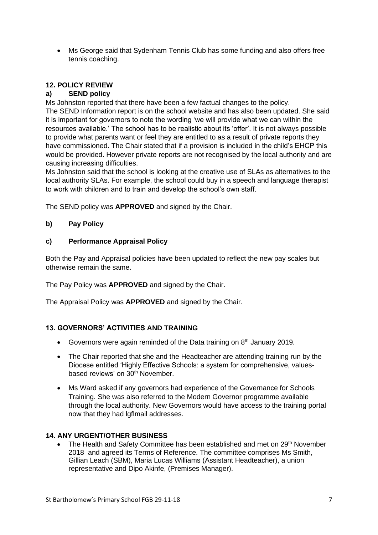• Ms George said that Sydenham Tennis Club has some funding and also offers free tennis coaching.

# **12. POLICY REVIEW**

## **a) SEND policy**

Ms Johnston reported that there have been a few factual changes to the policy. The SEND Information report is on the school website and has also been updated. She said it is important for governors to note the wording 'we will provide what we can within the resources available.' The school has to be realistic about its 'offer'. It is not always possible to provide what parents want or feel they are entitled to as a result of private reports they have commissioned. The Chair stated that if a provision is included in the child's EHCP this would be provided. However private reports are not recognised by the local authority and are causing increasing difficulties.

Ms Johnston said that the school is looking at the creative use of SLAs as alternatives to the local authority SLAs. For example, the school could buy in a speech and language therapist to work with children and to train and develop the school's own staff.

The SEND policy was **APPROVED** and signed by the Chair.

## **b) Pay Policy**

### **c) Performance Appraisal Policy**

Both the Pay and Appraisal policies have been updated to reflect the new pay scales but otherwise remain the same.

The Pay Policy was **APPROVED** and signed by the Chair.

The Appraisal Policy was **APPROVED** and signed by the Chair.

# **13. GOVERNORS' ACTIVITIES AND TRAINING**

- Governors were again reminded of the Data training on 8<sup>th</sup> January 2019.
- The Chair reported that she and the Headteacher are attending training run by the Diocese entitled 'Highly Effective Schools: a system for comprehensive, valuesbased reviews' on 30<sup>th</sup> November.
- Ms Ward asked if any governors had experience of the Governance for Schools Training. She was also referred to the Modern Governor programme available through the local authority. New Governors would have access to the training portal now that they had lgflmail addresses.

### **14. ANY URGENT/OTHER BUSINESS**

The Health and Safety Committee has been established and met on 29<sup>th</sup> November 2018 and agreed its Terms of Reference. The committee comprises Ms Smith, Gillian Leach (SBM), Maria Lucas Williams (Assistant Headteacher), a union representative and Dipo Akinfe, (Premises Manager).